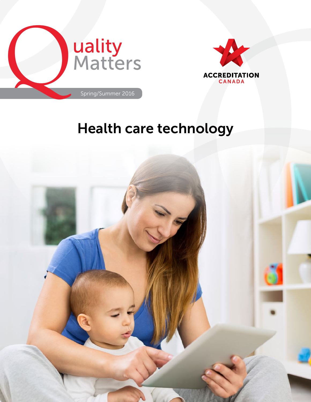



# Health care technology

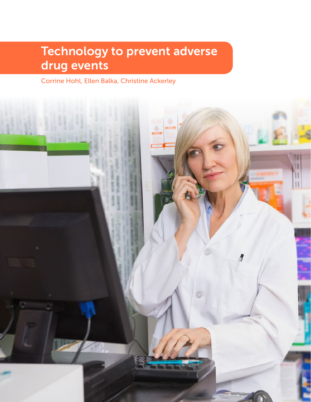## Technology to prevent adverse drug events

Corrine Hohl, Ellen Balka, Christine Ackerley

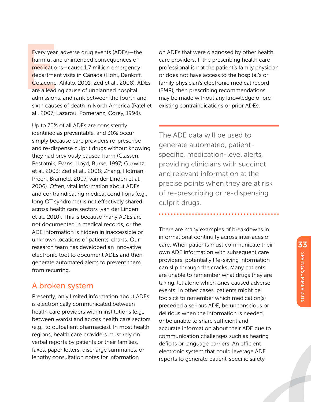Every year,<br>
harmful ar<br>
medication<br>
departmer<br>
Colacone,<br>
are a leadi<br>
admission Every year, adverse drug events (ADEs)—the harmful and unintended consequences of medications—cause 1.7 million emergency department visits in Canada (Hohl, Dankoff, Colacone, Afilalo, 2001; Zed et al., 2008). ADEs are a leading cause of unplanned hospital admissions, and rank between the fourth and sixth causes of death in North America (Patel et al., 2007; Lazarou, Pomeranz, Corey, 1998).

Up to 70% of all ADEs are consistently identified as preventable, and 30% occur simply because care providers re-prescribe and re-dispense culprit drugs without knowing they had previously caused harm (Classen, Pestotnik, Evans, Lloyd, Burke, 1997; Gurwitz et al, 2003; Zed et al., 2008; Zhang, Holman, Preen, Brameld, 2007; van der Linden et al., 2006). Often, vital information about ADEs and contraindicating medical conditions (e.g., long QT syndrome) is not effectively shared across health care sectors (van der Linden et al., 2010). This is because many ADEs are not documented in medical records, or the ADE information is hidden in inaccessible or unknown locations of patients' charts. Our research team has developed an innovative electronic tool to document ADEs and then generate automated alerts to prevent them from recurring.

## A broken system

Presently, only limited information about ADEs is electronically communicated between health care providers within institutions (e.g., between wards) and across health care sectors (e.g., to outpatient pharmacies). In most health regions, health care providers must rely on verbal reports by patients or their families, faxes, paper letters, discharge summaries, or lengthy consultation notes for information

on ADEs that were diagnosed by other health care providers. If the prescribing health care professional is not the patient's family physician or does not have access to the hospital's or family physician's electronic medical record (EMR), then prescribing recommendations may be made without any knowledge of preexisting contraindications or prior ADEs.

The ADE data will be used to generate automated, patientspecific, medication-level alerts, providing clinicians with succinct and relevant information at the precise points when they are at risk of re-prescribing or re-dispensing culprit drugs.

There are many examples of breakdowns in informational continuity across interfaces of care. When patients must communicate their own ADE information with subsequent care providers, potentially life-saving information can slip through the cracks. Many patients are unable to remember what drugs they are taking, let alone which ones caused adverse events. In other cases, patients might be too sick to remember which medication(s) preceded a serious ADE, be unconscious or delirious when the information is needed, or be unable to share sufficient and accurate information about their ADE due to communication challenges such as hearing deficits or language barriers. An efficient electronic system that could leverage ADE reports to generate patient-specific safety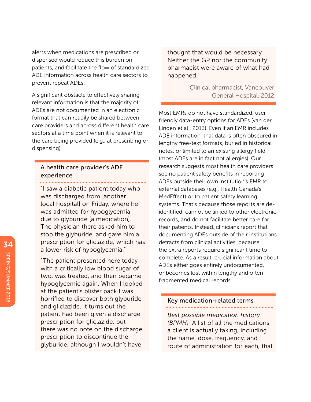alerts when medications are prescribed or dispensed would reduce this burden on patients, and facilitate the flow of standardized ADE information across health care sectors to prevent repeat ADEs.

A significant obstacle to effectively sharing relevant information is that the majority of ADEs are not documented in an electronic format that can readily be shared between care providers and across different health care sectors at a time point when it is relevant to the care being provided (e.g., at prescribing or dispensing).

## A health care provider's ADE experience

. . . . . . . . .

"I saw a diabetic patient today who was discharged from [another local hospital] on Friday, where he was admitted for hypoglycemia due to glyburide [a medication]. The physician there asked him to stop the glyburide, and gave him a prescription for gliclazide, which has a lower risk of hypoglycemia."

"The patient presented here today with a critically low blood sugar of two, was treated, and then became hypoglycemic again. When I looked at the patient's blister pack I was horrified to discover both glyburide and gliclazide. It turns out the patient had been given a discharge prescription for gliclazide, but there was no note on the discharge prescription to discontinue the glyburide, although I wouldn't have

thought that would be necessary. Neither the GP nor the community pharmacist were aware of what had happened."

> Clinical pharmacist, Vancouver General Hospital, 2012

Most EMRs do not have standardized, userfriendly data-entry options for ADEs (van der Linden et al., 2013). Even if an EMR includes ADE information, that data is often obscured in lengthy free-text formats, buried in historical notes, or limited to an existing allergy field (most ADEs are in fact not allergies). Our research suggests most health care providers see no patient safety benefits in reporting ADEs outside their own institution's EMR to external databases (e.g., Health Canada's MedEffect) or to patient safety learning systems. That's because those reports are deidentified, cannot be linked to other electronic records, and do not facilitate better care for their patients. Instead, clinicians report that documenting ADEs outside of their institutions detracts from clinical activities, because the extra reports require significant time to complete. As a result, crucial information about ADEs either goes entirely undocumented, or becomes lost within lengthy and often fragmented medical records.

## Key medication-related terms

*Best possible medication history (BPMH):* A list of all the medications a client is actually taking, including the name, dose, frequency, and route of administration for each, that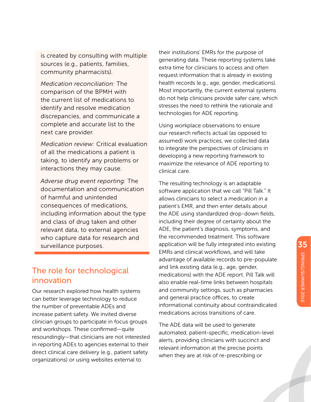is created by consulting with multiple sources (e.g., patients, families, community pharmacists).

*Medication reconciliation:* The comparison of the BPMH with the current list of medications to identify and resolve medication discrepancies, and communicate a complete and accurate list to the next care provider.

*Medication review:* Critical evaluation of all the medications a patient is taking, to identify any problems or interactions they may cause.

*Adverse drug event reporting:* The documentation and communication of harmful and unintended consequences of medications, including information about the type and class of drug taken and other relevant data, to external agencies who capture data for research and surveillance purposes.

## The role for technological innovation

Our research explored how health systems can better leverage technology to reduce the number of preventable ADEs and increase patient safety. We invited diverse clinician groups to participate in focus groups and workshops. These confirmed—quite resoundingly—that clinicians are not interested in reporting ADEs to agencies external to their direct clinical care delivery (e.g., patient safety organizations) or using websites external to

their institutions' EMRs for the purpose of generating data. These reporting systems take extra time for clinicians to access and often request information that is already in existing health records (e.g., age, gender, medications). Most importantly, the current external systems do not help clinicians provide safer care, which stresses the need to rethink the rationale and technologies for ADE reporting.

Using workplace observations to ensure our research reflects actual (as opposed to assumed) work practices, we collected data to integrate the perspectives of clinicians in developing a new reporting framework to maximize the relevance of ADE reporting to clinical care.

The resulting technology is an adaptable software application that we call "Pill Talk." It allows clinicians to select a medication in a patient's EMR, and then enter details about the ADE using standardized drop-down fields, including their degree of certainty about the ADE, the patient's diagnosis, symptoms, and the recommended treatment. This software application will be fully integrated into existing EMRs and clinical workflows, and will take advantage of available records to pre-populate and link existing data (e.g., age, gender, medications) with the ADE report. Pill Talk will also enable real-time links between hospitals and community settings, such as pharmacies and general practice offices, to create informational continuity about contraindicated medications across transitions of care.

The ADE data will be used to generate automated, patient-specific, medication-level alerts, providing clinicians with succinct and relevant information at the precise points when they are at risk of re-prescribing or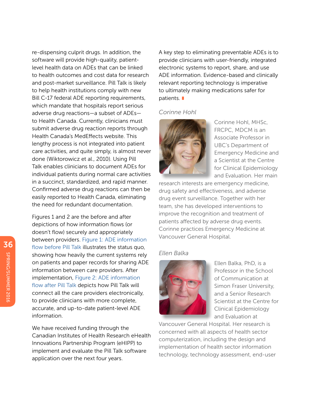re-dispensing culprit drugs. In addition, the software will provide high-quality, patientlevel health data on ADEs that can be linked to health outcomes and cost data for research and post-market surveillance. Pill Talk is likely to help health institutions comply with new Bill C-17 federal ADE reporting requirements, which mandate that hospitals report serious adverse drug reactions—a subset of ADEs to Health Canada. Currently, clinicians must submit adverse drug reaction reports through Health Canada's MedEffects website. This lengthy process is not integrated into patient care activities, and quite simply, is almost never done (Wiktorowicz et al., 2010). Using Pill Talk enables clinicians to document ADEs for individual patients during normal care activities in a succinct, standardized, and rapid manner. Confirmed adverse drug reactions can then be easily reported to Health Canada, eliminating the need for redundant documentation.

Figures 1 and 2 are the before and after depictions of how information flows (or doesn't flow) securely and appropriately between providers. [Figure 1: ADE information](https://accreditation.ca/sites/default/files/figure-1-ade-information-flow-before-pill-talk.pdf)  [flow before Pill Talk i](https://accreditation.ca/sites/default/files/figure-1-ade-information-flow-before-pill-talk.pdf)llustrates the status quo, showing how heavily the current systems rely on patients and paper records for sharing ADE information between care providers. After implementation, [Figure 2: ADE information](https://accreditation.ca/sites/default/files/figure-2-ade-information-flow-before-pill-talk.pdf)  [flow after Pill Talk](https://accreditation.ca/sites/default/files/figure-2-ade-information-flow-before-pill-talk.pdf) depicts how Pill Talk will connect all the care providers electronically, to provide clinicians with more complete, accurate, and up-to-date patient-level ADE information.

We have received funding through the Canadian Institutes of Health Research eHealth Innovations Partnership Program (eHIPP) to implement and evaluate the Pill Talk software application over the next four years.

A key step to eliminating preventable ADEs is to provide clinicians with user-friendly, integrated electronic systems to report, share, and use ADE information. Evidence-based and clinically relevant reporting technology is imperative to ultimately making medications safer for patients.

## *Corinne Hohl*



Corinne Hohl, MHSc, FRCPC, MDCM is an Associate Professor in UBC's Department of Emergency Medicine and a Scientist at the Centre for Clinical Epidemiology and Evaluation. Her main

research interests are emergency medicine, drug safety and effectiveness, and adverse drug event surveillance. Together with her team, she has developed interventions to improve the recognition and treatment of patients affected by adverse drug events. Corinne practices Emergency Medicine at Vancouver General Hospital.

## *Ellen Balka*



Ellen Balka, PhD, is a Professor in the School of Communication at Simon Fraser University, and a Senior Research Scientist at the Centre for Clinical Epidemiology and Evaluation at

Vancouver General Hospital. Her research is concerned with all aspects of health sector computerization, including the design and implementation of health sector information technology, technology assessment, end-user